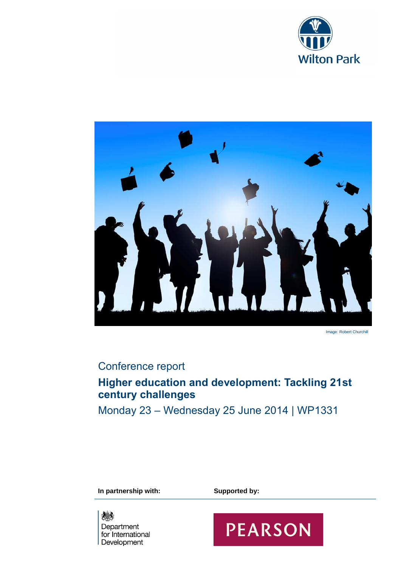



Image: Robert Churchill

# Conference report

# **Higher education and development: Tackling 21st century challenges**

Monday 23 – Wednesday 25 June 2014 | WP1331

**In partnership with: Supported by:** 

《美 Department for International Development

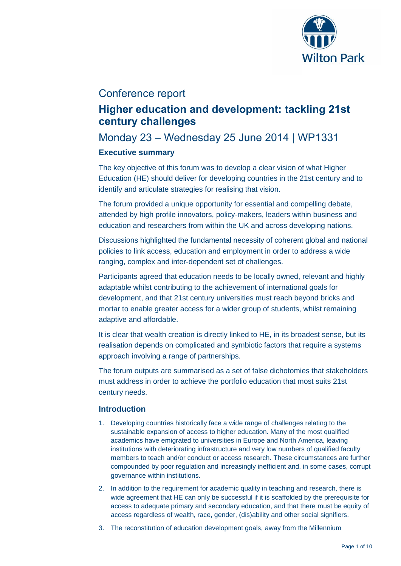

# Conference report

# **Higher education and development: tackling 21st century challenges**

# Monday 23 – Wednesday 25 June 2014 | WP1331

## **Executive summary**

The key objective of this forum was to develop a clear vision of what Higher Education (HE) should deliver for developing countries in the 21st century and to identify and articulate strategies for realising that vision.

The forum provided a unique opportunity for essential and compelling debate, attended by high profile innovators, policy-makers, leaders within business and education and researchers from within the UK and across developing nations.

Discussions highlighted the fundamental necessity of coherent global and national policies to link access, education and employment in order to address a wide ranging, complex and inter-dependent set of challenges.

Participants agreed that education needs to be locally owned, relevant and highly adaptable whilst contributing to the achievement of international goals for development, and that 21st century universities must reach beyond bricks and mortar to enable greater access for a wider group of students, whilst remaining adaptive and affordable.

It is clear that wealth creation is directly linked to HE, in its broadest sense, but its realisation depends on complicated and symbiotic factors that require a systems approach involving a range of partnerships.

The forum outputs are summarised as a set of false dichotomies that stakeholders must address in order to achieve the portfolio education that most suits 21st century needs.

# **Introduction**

- 1. Developing countries historically face a wide range of challenges relating to the sustainable expansion of access to higher education. Many of the most qualified academics have emigrated to universities in Europe and North America, leaving institutions with deteriorating infrastructure and very low numbers of qualified faculty members to teach and/or conduct or access research. These circumstances are further compounded by poor regulation and increasingly inefficient and, in some cases, corrupt governance within institutions.
- 2. In addition to the requirement for academic quality in teaching and research, there is wide agreement that HE can only be successful if it is scaffolded by the prerequisite for access to adequate primary and secondary education, and that there must be equity of access regardless of wealth, race, gender, (dis)ability and other social signifiers.
- 3. The reconstitution of education development goals, away from the Millennium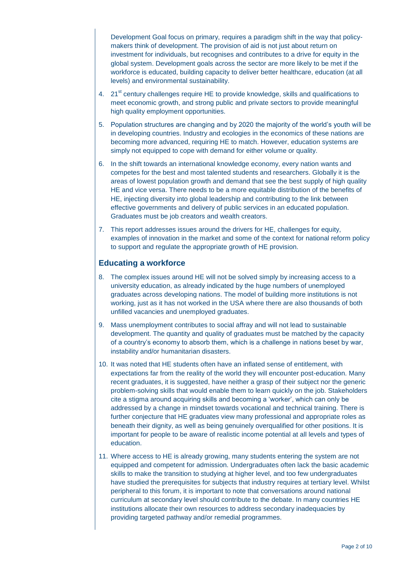Development Goal focus on primary, requires a paradigm shift in the way that policymakers think of development. The provision of aid is not just about return on investment for individuals, but recognises and contributes to a drive for equity in the global system. Development goals across the sector are more likely to be met if the workforce is educated, building capacity to deliver better healthcare, education (at all levels) and environmental sustainability.

- 4. 21<sup>st</sup> century challenges require HE to provide knowledge, skills and qualifications to meet economic growth, and strong public and private sectors to provide meaningful high quality employment opportunities.
- 5. Population structures are changing and by 2020 the majority of the world's youth will be in developing countries. Industry and ecologies in the economics of these nations are becoming more advanced, requiring HE to match. However, education systems are simply not equipped to cope with demand for either volume or quality.
- 6. In the shift towards an international knowledge economy, every nation wants and competes for the best and most talented students and researchers. Globally it is the areas of lowest population growth and demand that see the best supply of high quality HE and vice versa. There needs to be a more equitable distribution of the benefits of HE, injecting diversity into global leadership and contributing to the link between effective governments and delivery of public services in an educated population. Graduates must be job creators and wealth creators.
- 7. This report addresses issues around the drivers for HE, challenges for equity, examples of innovation in the market and some of the context for national reform policy to support and regulate the appropriate growth of HE provision.

## **Educating a workforce**

- 8. The complex issues around HE will not be solved simply by increasing access to a university education, as already indicated by the huge numbers of unemployed graduates across developing nations. The model of building more institutions is not working, just as it has not worked in the USA where there are also thousands of both unfilled vacancies and unemployed graduates.
- 9. Mass unemployment contributes to social affray and will not lead to sustainable development. The quantity and quality of graduates must be matched by the capacity of a country's economy to absorb them, which is a challenge in nations beset by war, instability and/or humanitarian disasters.
- 10. It was noted that HE students often have an inflated sense of entitlement, with expectations far from the reality of the world they will encounter post-education. Many recent graduates, it is suggested, have neither a grasp of their subject nor the generic problem-solving skills that would enable them to learn quickly on the job. Stakeholders cite a stigma around acquiring skills and becoming a 'worker', which can only be addressed by a change in mindset towards vocational and technical training. There is further conjecture that HE graduates view many professional and appropriate roles as beneath their dignity, as well as being genuinely overqualified for other positions. It is important for people to be aware of realistic income potential at all levels and types of education.
- 11. Where access to HE is already growing, many students entering the system are not equipped and competent for admission. Undergraduates often lack the basic academic skills to make the transition to studying at higher level, and too few undergraduates have studied the prerequisites for subjects that industry requires at tertiary level. Whilst peripheral to this forum, it is important to note that conversations around national curriculum at secondary level should contribute to the debate. In many countries HE institutions allocate their own resources to address secondary inadequacies by providing targeted pathway and/or remedial programmes.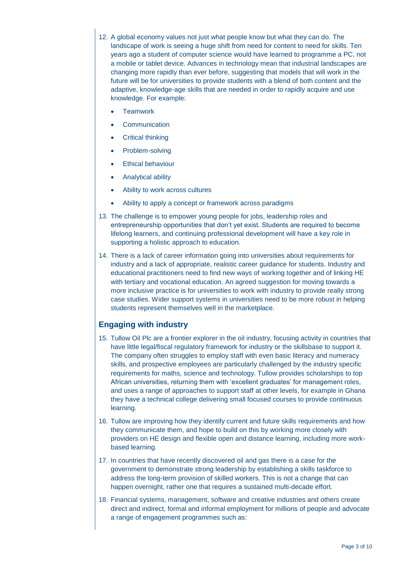- 12. A global economy values not just what people know but what they can do. The landscape of work is seeing a huge shift from need for content to need for skills. Ten years ago a student of computer science would have learned to programme a PC, not a mobile or tablet device. Advances in technology mean that industrial landscapes are changing more rapidly than ever before, suggesting that models that will work in the future will be for universities to provide students with a blend of both content and the adaptive, knowledge-age skills that are needed in order to rapidly acquire and use knowledge. For example:
	- **Teamwork**
	- **Communication**
	- Critical thinking
	- Problem-solving
	- Ethical behaviour
	- Analytical ability
	- Ability to work across cultures
	- Ability to apply a concept or framework across paradigms
- 13. The challenge is to empower young people for jobs, leadership roles and entrepreneurship opportunities that don't yet exist. Students are required to become lifelong learners, and continuing professional development will have a key role in supporting a holistic approach to education.
- 14. There is a lack of career information going into universities about requirements for industry and a lack of appropriate, realistic career guidance for students. Industry and educational practitioners need to find new ways of working together and of linking HE with tertiary and vocational education. An agreed suggestion for moving towards a more inclusive practice is for universities to work with industry to provide really strong case studies. Wider support systems in universities need to be more robust in helping students represent themselves well in the marketplace.

## **Engaging with industry**

- 15. Tullow Oil Plc are a frontier explorer in the oil industry, focusing activity in countries that have little legal/fiscal regulatory framework for industry or the skillsbase to support it. The company often struggles to employ staff with even basic literacy and numeracy skills, and prospective employees are particularly challenged by the industry specific requirements for maths, science and technology. Tullow provides scholarships to top African universities, returning them with 'excellent graduates' for management roles, and uses a range of approaches to support staff at other levels, for example in Ghana they have a technical college delivering small focused courses to provide continuous learning.
- 16. Tullow are improving how they identify current and future skills requirements and how they communicate them, and hope to build on this by working more closely with providers on HE design and flexible open and distance learning, including more workbased learning.
- 17. In countries that have recently discovered oil and gas there is a case for the government to demonstrate strong leadership by establishing a skills taskforce to address the long-term provision of skilled workers. This is not a change that can happen overnight, rather one that requires a sustained multi-decade effort.
- 18. Financial systems, management, software and creative industries and others create direct and indirect, formal and informal employment for millions of people and advocate a range of engagement programmes such as: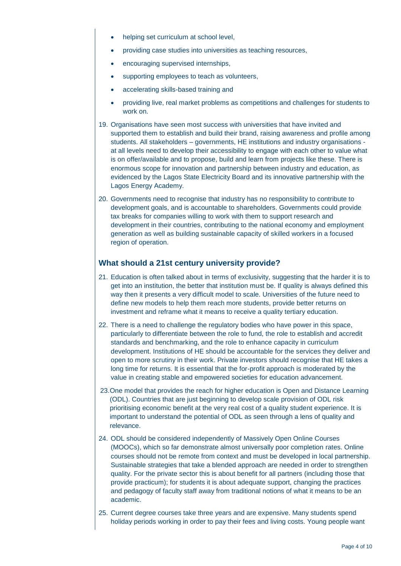- helping set curriculum at school level,
- providing case studies into universities as teaching resources,
- encouraging supervised internships,
- supporting employees to teach as volunteers,
- accelerating skills-based training and
- providing live, real market problems as competitions and challenges for students to work on.
- 19. Organisations have seen most success with universities that have invited and supported them to establish and build their brand, raising awareness and profile among students. All stakeholders – governments, HE institutions and industry organisations at all levels need to develop their accessibility to engage with each other to value what is on offer/available and to propose, build and learn from projects like these. There is enormous scope for innovation and partnership between industry and education, as evidenced by the Lagos State Electricity Board and its innovative partnership with the Lagos Energy Academy.
- 20. Governments need to recognise that industry has no responsibility to contribute to development goals, and is accountable to shareholders. Governments could provide tax breaks for companies willing to work with them to support research and development in their countries, contributing to the national economy and employment generation as well as building sustainable capacity of skilled workers in a focused region of operation.

## **What should a 21st century university provide?**

- 21. Education is often talked about in terms of exclusivity, suggesting that the harder it is to get into an institution, the better that institution must be. If quality is always defined this way then it presents a very difficult model to scale. Universities of the future need to define new models to help them reach more students, provide better returns on investment and reframe what it means to receive a quality tertiary education.
- 22. There is a need to challenge the regulatory bodies who have power in this space, particularly to differentiate between the role to fund, the role to establish and accredit standards and benchmarking, and the role to enhance capacity in curriculum development. Institutions of HE should be accountable for the services they deliver and open to more scrutiny in their work. Private investors should recognise that HE takes a long time for returns. It is essential that the for-profit approach is moderated by the value in creating stable and empowered societies for education advancement.
- 23.One model that provides the reach for higher education is Open and Distance Learning (ODL). Countries that are just beginning to develop scale provision of ODL risk prioritising economic benefit at the very real cost of a quality student experience. It is important to understand the potential of ODL as seen through a lens of quality and relevance.
- 24. ODL should be considered independently of Massively Open Online Courses (MOOCs), which so far demonstrate almost universally poor completion rates. Online courses should not be remote from context and must be developed in local partnership. Sustainable strategies that take a blended approach are needed in order to strengthen quality. For the private sector this is about benefit for all partners (including those that provide practicum); for students it is about adequate support, changing the practices and pedagogy of faculty staff away from traditional notions of what it means to be an academic.
- 25. Current degree courses take three years and are expensive. Many students spend holiday periods working in order to pay their fees and living costs. Young people want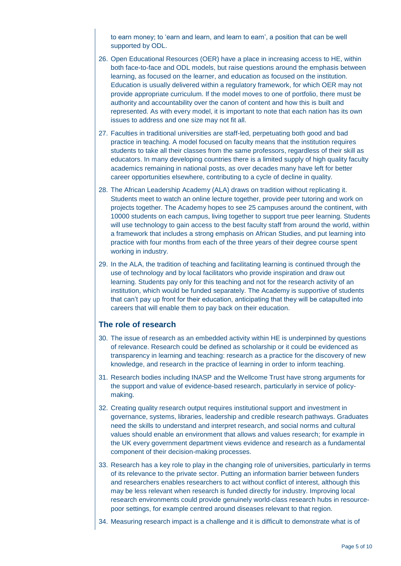to earn money; to 'earn and learn, and learn to earn', a position that can be well supported by ODL.

- 26. Open Educational Resources (OER) have a place in increasing access to HE, within both face-to-face and ODL models, but raise questions around the emphasis between learning, as focused on the learner, and education as focused on the institution. Education is usually delivered within a regulatory framework, for which OER may not provide appropriate curriculum. If the model moves to one of portfolio, there must be authority and accountability over the canon of content and how this is built and represented. As with every model, it is important to note that each nation has its own issues to address and one size may not fit all.
- 27. Faculties in traditional universities are staff-led, perpetuating both good and bad practice in teaching. A model focused on faculty means that the institution requires students to take all their classes from the same professors, regardless of their skill as educators. In many developing countries there is a limited supply of high quality faculty academics remaining in national posts, as over decades many have left for better career opportunities elsewhere, contributing to a cycle of decline in quality.
- 28. The African Leadership Academy (ALA) draws on tradition without replicating it. Students meet to watch an online lecture together, provide peer tutoring and work on projects together. The Academy hopes to see 25 campuses around the continent, with 10000 students on each campus, living together to support true peer learning. Students will use technology to gain access to the best faculty staff from around the world, within a framework that includes a strong emphasis on African Studies, and put learning into practice with four months from each of the three years of their degree course spent working in industry.
- 29. In the ALA, the tradition of teaching and facilitating learning is continued through the use of technology and by local facilitators who provide inspiration and draw out learning. Students pay only for this teaching and not for the research activity of an institution, which would be funded separately. The Academy is supportive of students that can't pay up front for their education, anticipating that they will be catapulted into careers that will enable them to pay back on their education.

## **The role of research**

- 30. The issue of research as an embedded activity within HE is underpinned by questions of relevance. Research could be defined as scholarship or it could be evidenced as transparency in learning and teaching: research as a practice for the discovery of new knowledge, and research in the practice of learning in order to inform teaching.
- 31. Research bodies including INASP and the Wellcome Trust have strong arguments for the support and value of evidence-based research, particularly in service of policymaking.
- 32. Creating quality research output requires institutional support and investment in governance, systems, libraries, leadership and credible research pathways. Graduates need the skills to understand and interpret research, and social norms and cultural values should enable an environment that allows and values research; for example in the UK every government department views evidence and research as a fundamental component of their decision-making processes.
- 33. Research has a key role to play in the changing role of universities, particularly in terms of its relevance to the private sector. Putting an information barrier between funders and researchers enables researchers to act without conflict of interest, although this may be less relevant when research is funded directly for industry. Improving local research environments could provide genuinely world-class research hubs in resourcepoor settings, for example centred around diseases relevant to that region.
- 34. Measuring research impact is a challenge and it is difficult to demonstrate what is of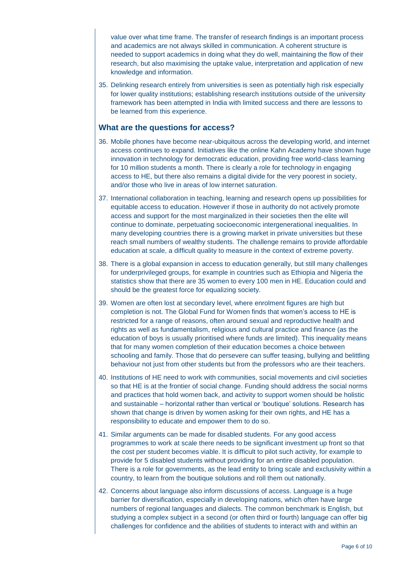value over what time frame. The transfer of research findings is an important process and academics are not always skilled in communication. A coherent structure is needed to support academics in doing what they do well, maintaining the flow of their research, but also maximising the uptake value, interpretation and application of new knowledge and information.

35. Delinking research entirely from universities is seen as potentially high risk especially for lower quality institutions; establishing research institutions outside of the university framework has been attempted in India with limited success and there are lessons to be learned from this experience.

## **What are the questions for access?**

- 36. Mobile phones have become near-ubiquitous across the developing world, and internet access continues to expand. Initiatives like the online Kahn Academy have shown huge innovation in technology for democratic education, providing free world-class learning for 10 million students a month. There is clearly a role for technology in engaging access to HE, but there also remains a digital divide for the very poorest in society, and/or those who live in areas of low internet saturation.
- 37. International collaboration in teaching, learning and research opens up possibilities for equitable access to education. However if those in authority do not actively promote access and support for the most marginalized in their societies then the elite will continue to dominate, perpetuating socioeconomic intergenerational inequalities. In many developing countries there is a growing market in private universities but these reach small numbers of wealthy students. The challenge remains to provide affordable education at scale, a difficult quality to measure in the context of extreme poverty.
- 38. There is a global expansion in access to education generally, but still many challenges for underprivileged groups, for example in countries such as Ethiopia and Nigeria the statistics show that there are 35 women to every 100 men in HE. Education could and should be the greatest force for equalizing society.
- 39. Women are often lost at secondary level, where enrolment figures are high but completion is not. The Global Fund for Women finds that women's access to HE is restricted for a range of reasons, often around sexual and reproductive health and rights as well as fundamentalism, religious and cultural practice and finance (as the education of boys is usually prioritised where funds are limited). This inequality means that for many women completion of their education becomes a choice between schooling and family. Those that do persevere can suffer teasing, bullying and belittling behaviour not just from other students but from the professors who are their teachers.
- 40. Institutions of HE need to work with communities, social movements and civil societies so that HE is at the frontier of social change. Funding should address the social norms and practices that hold women back, and activity to support women should be holistic and sustainable – horizontal rather than vertical or 'boutique' solutions. Research has shown that change is driven by women asking for their own rights, and HE has a responsibility to educate and empower them to do so.
- 41. Similar arguments can be made for disabled students. For any good access programmes to work at scale there needs to be significant investment up front so that the cost per student becomes viable. It is difficult to pilot such activity, for example to provide for 5 disabled students without providing for an entire disabled population. There is a role for governments, as the lead entity to bring scale and exclusivity within a country, to learn from the boutique solutions and roll them out nationally.
- 42. Concerns about language also inform discussions of access. Language is a huge barrier for diversification, especially in developing nations, which often have large numbers of regional languages and dialects. The common benchmark is English, but studying a complex subject in a second (or often third or fourth) language can offer big challenges for confidence and the abilities of students to interact with and within an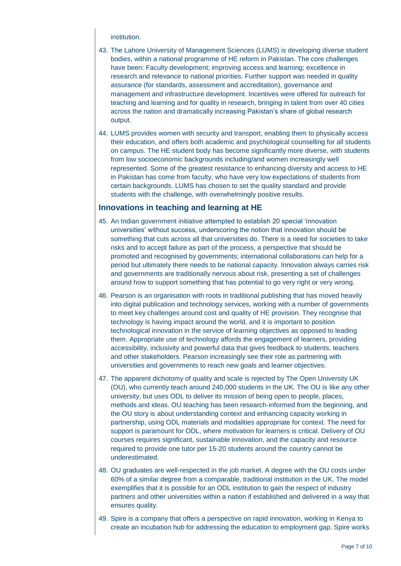#### institution.

- 43. The Lahore University of Management Sciences (LUMS) is developing diverse student bodies, within a national programme of HE reform in Pakistan. The core challenges have been: Faculty development; improving access and learning; excellence in research and relevance to national priorities. Further support was needed in quality assurance (for standards, assessment and accreditation), governance and management and infrastructure development. Incentives were offered for outreach for teaching and learning and for quality in research, bringing in talent from over 40 cities across the nation and dramatically increasing Pakistan's share of global research output.
- 44. LUMS provides women with security and transport, enabling them to physically access their education, and offers both academic and psychological counselling for all students on campus. The HE student body has become significantly more diverse, with students from low socioeconomic backgrounds including/and women increasingly well represented. Some of the greatest resistance to enhancing diversity and access to HE in Pakistan has come from faculty, who have very low expectations of students from certain backgrounds. LUMS has chosen to set the quality standard and provide students with the challenge, with overwhelmingly positive results.

### **Innovations in teaching and learning at HE**

- 45. An Indian government initiative attempted to establish 20 special 'innovation universities' without success, underscoring the notion that innovation should be something that cuts across all that universities do. There is a need for societies to take risks and to accept failure as part of the process, a perspective that should be promoted and recognised by governments; international collaborations can help for a period but ultimately there needs to be national capacity. Innovation always carries risk and governments are traditionally nervous about risk, presenting a set of challenges around how to support something that has potential to go very right or very wrong.
- 46. Pearson is an organisation with roots in traditional publishing that has moved heavily into digital publication and technology services, working with a number of governments to meet key challenges around cost and quality of HE provision. They recognise that technology is having impact around the world, and it is important to position technological innovation in the service of learning objectives as opposed to leading them. Appropriate use of technology affords the engagement of learners, providing accessibility, inclusivity and powerful data that gives feedback to students, teachers and other stakeholders. Pearson increasingly see their role as partnering with universities and governments to reach new goals and learner objectives.
- 47. The apparent dichotomy of quality and scale is rejected by The Open University UK (OU), who currently teach around 240,000 students in the UK. The OU is like any other university, but uses ODL to deliver its mission of being open to people, places, methods and ideas. OU teaching has been research-informed from the beginning, and the OU story is about understanding context and enhancing capacity working in partnership, using ODL materials and modalities appropriate for context. The need for support is paramount for ODL, where motivation for learners is critical. Delivery of OU courses requires significant, sustainable innovation, and the capacity and resource required to provide one tutor per 15-20 students around the country cannot be underestimated.
- 48. OU graduates are well-respected in the job market. A degree with the OU costs under 60% of a similar degree from a comparable, traditional institution in the UK. The model exemplifies that it is possible for an ODL institution to gain the respect of industry partners and other universities within a nation if established and delivered in a way that ensures quality.
- 49. Spire is a company that offers a perspective on rapid innovation, working in Kenya to create an incubation hub for addressing the education to employment gap. Spire works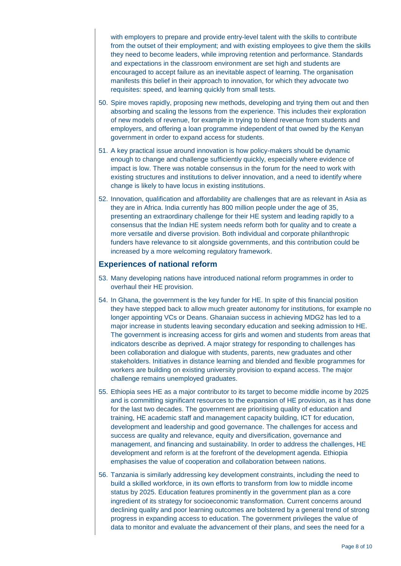with employers to prepare and provide entry-level talent with the skills to contribute from the outset of their employment; and with existing employees to give them the skills they need to become leaders, while improving retention and performance. Standards and expectations in the classroom environment are set high and students are encouraged to accept failure as an inevitable aspect of learning. The organisation manifests this belief in their approach to innovation, for which they advocate two requisites: speed, and learning quickly from small tests.

- 50. Spire moves rapidly, proposing new methods, developing and trying them out and then absorbing and scaling the lessons from the experience. This includes their exploration of new models of revenue, for example in trying to blend revenue from students and employers, and offering a loan programme independent of that owned by the Kenyan government in order to expand access for students.
- 51. A key practical issue around innovation is how policy-makers should be dynamic enough to change and challenge sufficiently quickly, especially where evidence of impact is low. There was notable consensus in the forum for the need to work with existing structures and institutions to deliver innovation, and a need to identify where change is likely to have locus in existing institutions.
- 52. Innovation, qualification and affordability are challenges that are as relevant in Asia as they are in Africa. India currently has 800 million people under the age of 35, presenting an extraordinary challenge for their HE system and leading rapidly to a consensus that the Indian HE system needs reform both for quality and to create a more versatile and diverse provision. Both individual and corporate philanthropic funders have relevance to sit alongside governments, and this contribution could be increased by a more welcoming regulatory framework.

## **Experiences of national reform**

- 53. Many developing nations have introduced national reform programmes in order to overhaul their HE provision.
- 54. In Ghana, the government is the key funder for HE. In spite of this financial position they have stepped back to allow much greater autonomy for institutions, for example no longer appointing VCs or Deans. Ghanaian success in achieving MDG2 has led to a major increase in students leaving secondary education and seeking admission to HE. The government is increasing access for girls and women and students from areas that indicators describe as deprived. A major strategy for responding to challenges has been collaboration and dialogue with students, parents, new graduates and other stakeholders. Initiatives in distance learning and blended and flexible programmes for workers are building on existing university provision to expand access. The major challenge remains unemployed graduates.
- 55. Ethiopia sees HE as a major contributor to its target to become middle income by 2025 and is committing significant resources to the expansion of HE provision, as it has done for the last two decades. The government are prioritising quality of education and training, HE academic staff and management capacity building, ICT for education, development and leadership and good governance. The challenges for access and success are quality and relevance, equity and diversification, governance and management, and financing and sustainability. In order to address the challenges, HE development and reform is at the forefront of the development agenda. Ethiopia emphasises the value of cooperation and collaboration between nations.
- 56. Tanzania is similarly addressing key development constraints, including the need to build a skilled workforce, in its own efforts to transform from low to middle income status by 2025. Education features prominently in the government plan as a core ingredient of its strategy for socioeconomic transformation. Current concerns around declining quality and poor learning outcomes are bolstered by a general trend of strong progress in expanding access to education. The government privileges the value of data to monitor and evaluate the advancement of their plans, and sees the need for a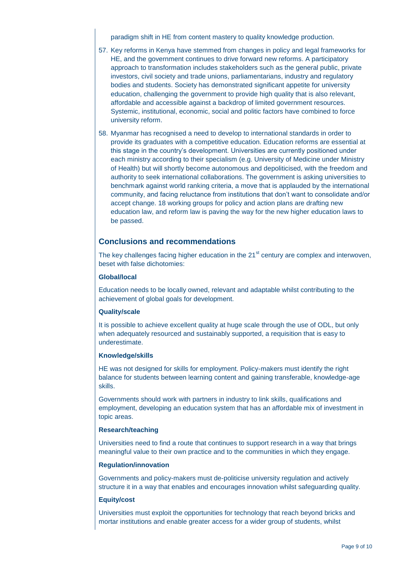paradigm shift in HE from content mastery to quality knowledge production.

- 57. Key reforms in Kenya have stemmed from changes in policy and legal frameworks for HE, and the government continues to drive forward new reforms. A participatory approach to transformation includes stakeholders such as the general public, private investors, civil society and trade unions, parliamentarians, industry and regulatory bodies and students. Society has demonstrated significant appetite for university education, challenging the government to provide high quality that is also relevant, affordable and accessible against a backdrop of limited government resources. Systemic, institutional, economic, social and politic factors have combined to force university reform.
- 58. Myanmar has recognised a need to develop to international standards in order to provide its graduates with a competitive education. Education reforms are essential at this stage in the country's development. Universities are currently positioned under each ministry according to their specialism (e.g. University of Medicine under Ministry of Health) but will shortly become autonomous and depoliticised, with the freedom and authority to seek international collaborations. The government is asking universities to benchmark against world ranking criteria, a move that is applauded by the international community, and facing reluctance from institutions that don't want to consolidate and/or accept change. 18 working groups for policy and action plans are drafting new education law, and reform law is paving the way for the new higher education laws to be passed.

## **Conclusions and recommendations**

The key challenges facing higher education in the  $21<sup>st</sup>$  century are complex and interwoven, beset with false dichotomies:

#### **Global/local**

Education needs to be locally owned, relevant and adaptable whilst contributing to the achievement of global goals for development.

#### **Quality/scale**

It is possible to achieve excellent quality at huge scale through the use of ODL, but only when adequately resourced and sustainably supported, a requisition that is easy to underestimate.

#### **Knowledge/skills**

HE was not designed for skills for employment. Policy-makers must identify the right balance for students between learning content and gaining transferable, knowledge-age skills.

Governments should work with partners in industry to link skills, qualifications and employment, developing an education system that has an affordable mix of investment in topic areas.

### **Research/teaching**

Universities need to find a route that continues to support research in a way that brings meaningful value to their own practice and to the communities in which they engage.

#### **Regulation/innovation**

Governments and policy-makers must de-politicise university regulation and actively structure it in a way that enables and encourages innovation whilst safeguarding quality.

### **Equity/cost**

Universities must exploit the opportunities for technology that reach beyond bricks and mortar institutions and enable greater access for a wider group of students, whilst